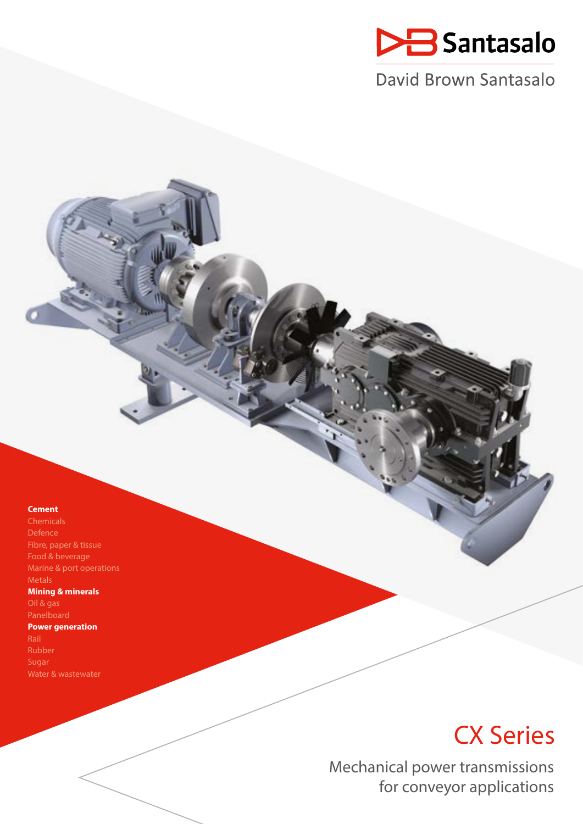

David Brown Santasalo

### **Cement**

Defence Fibre, paper & tissue Food & beverage Marine & port operations Metals

**Mining & minerals** Oil & gas **Power generation** Rubber Sugar

# CX Series

Mechanical power transmissions for conveyor applications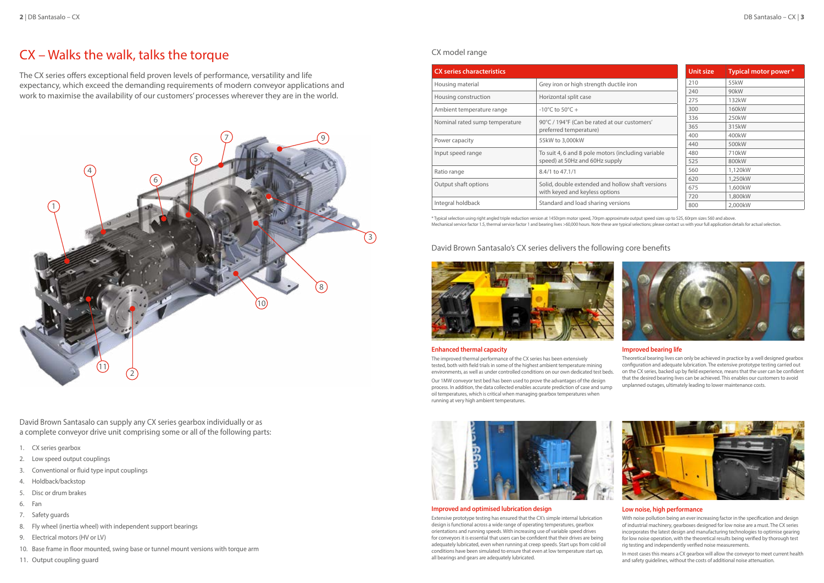

David Brown Santasalo can supply any CX series gearbox individually or as a complete conveyor drive unit comprising some or all of the following parts:

- 1. CX series gearbox
- 2. Low speed output couplings
- 3. Conventional or fluid type input couplings
- 4. Holdback/backstop
- 5. Disc or drum brakes
- 6. Fan
- 7. Safety guards
- 8. Fly wheel (inertia wheel) with independent support bearings
- 9. Electrical motors (HV or LV)
- 10. Base frame in floor mounted, swing base or tunnel mount versions with torque arm
- 11. Output coupling guard

| <b>CX series characteristics</b> |                                                                                      | Unit size | Typical motor power * |
|----------------------------------|--------------------------------------------------------------------------------------|-----------|-----------------------|
| Housing material                 | Grey iron or high strength ductile iron                                              | 210       | 55kW                  |
|                                  |                                                                                      | 240       | 90kW                  |
| Housing construction             | Horizontal split case                                                                | 275       | 132kW                 |
| Ambient temperature range        | $-10^{\circ}$ C to 50 $^{\circ}$ C +                                                 | 300       | 160 <sub>k</sub> W    |
| Nominal rated sump temperature   | 90°C / 194°F (Can be rated at our customers'<br>preferred temperature)               | 336       | 250kW                 |
|                                  |                                                                                      | 365       | 315kW                 |
| Power capacity                   | 55kW to 3,000kW                                                                      | 400       | 400kW                 |
|                                  |                                                                                      | 440       | 500kW                 |
| Input speed range                | To suit 4, 6 and 8 pole motors (including variable<br>speed) at 50Hz and 60Hz supply | 480       | 710 <sub>k</sub> W    |
|                                  |                                                                                      | 525       | 800kW                 |
| Ratio range                      | 8.4/1 to 47.1/1                                                                      | 560       | 1,120kW               |
| Output shaft options             | Solid, double extended and hollow shaft versions<br>with keyed and keyless options   | 620       | 1,250kW               |
|                                  |                                                                                      | 675       | 1,600kW               |
|                                  |                                                                                      | 720       | 1,800kW               |
| Integral holdback                | Standard and load sharing versions                                                   | 800       | 2,000kW               |

In most cases this means a CX gearbox will allow the conveyor to meet current health and safety quidelines, without the costs of additional noise attenuation.

### CX model range

\* Typical selection using right angled triple reduction version at 1450rpm motor speed, 70rpm approximate output speed sizes up to 525, 60rpm sizes 560 and above. Mechanical service factor 1.5, thermal service factor 1 and bearing lives >60,000 hours. Note these are typical selections; please contact us with your full application details for actual selection.

## David Brown Santasalo's CX series delivers the following core benefits



#### **Enhanced thermal capacity**

#### **Low noise, high performance**

With noise pollution being an ever increasing factor in the specification and design of industrial machinery, gearboxes designed for low noise are a must. The CX series incorporates the latest design and manufacturing technologies to optimise gearing for low noise operation, with the theoretical results being verified by thorough test rig testing and independently verified noise measurements.

The improved thermal performance of the CX series has been extensively tested, both with field trials in some of the highest ambient temperature mining environments, as well as under controlled conditions on our own dedicated test beds. Our 1MW conveyor test bed has been used to prove the advantages of the design process. In addition, the data collected enables accurate prediction of case and sump oil temperatures, which is critical when managing gearbox temperatures when running at very high ambient temperatures. Theoretical bearing lives can only be achieved in practice by a well designed gearbox configuration and adequate lubrication. The extensive prototype testing carried out on the CX series, backed up by field experience, means that the user can be confident that the desired bearing lives can be achieved. This enables our customers to avoid unplanned outages, ultimately leading to lower maintenance costs.



#### **Improved and optimised lubrication design**

Extensive prototype testing has ensured that the CX's simple internal lubrication design is functional across a wide range of operating temperatures, gearbox orientations and running speeds. With increasing use of variable speed drives for conveyors it is essential that users can be confident that their drives are being adequately lubricated, even when running at creep speeds. Start ups from cold oil conditions have been simulated to ensure that even at low temperature start up, all bearings and gears are adequately lubricated.



#### **Improved bearing life**

# CX – Walks the walk, talks the torque

The CX series offers exceptional field proven levels of performance, versatility and life expectancy, which exceed the demanding requirements of modern conveyor applications and work to maximise the availability of our customers' processes wherever they are in the world.